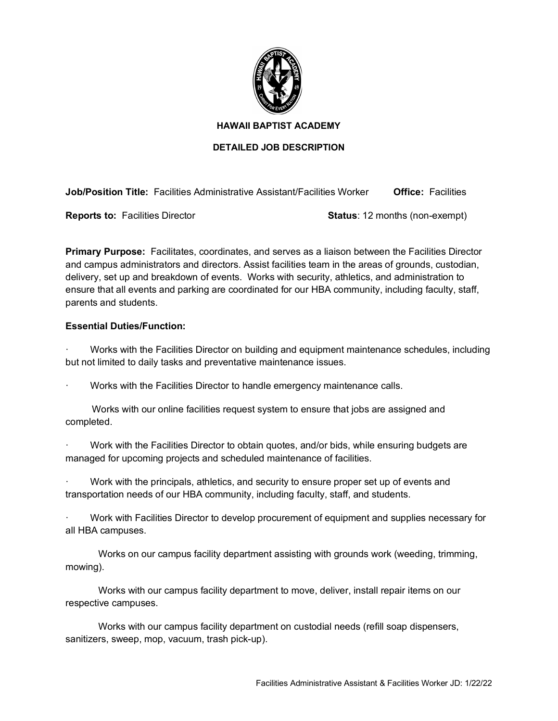

## **HAWAII BAPTIST ACADEMY**

## **DETAILED JOB DESCRIPTION**

**Job/Position Title:** Facilities Administrative Assistant/Facilities Worker **Office:** Facilities

**Reports to:** Facilities Director **Status**: 12 months (non-exempt)

**Primary Purpose:** Facilitates, coordinates, and serves as a liaison between the Facilities Director and campus administrators and directors. Assist facilities team in the areas of grounds, custodian, delivery, set up and breakdown of events. Works with security, athletics, and administration to ensure that all events and parking are coordinated for our HBA community, including faculty, staff, parents and students.

## **Essential Duties/Function:**

· Works with the Facilities Director on building and equipment maintenance schedules, including but not limited to daily tasks and preventative maintenance issues.

· Works with the Facilities Director to handle emergency maintenance calls.

 Works with our online facilities request system to ensure that jobs are assigned and completed.

Work with the Facilities Director to obtain quotes, and/or bids, while ensuring budgets are managed for upcoming projects and scheduled maintenance of facilities.

Work with the principals, athletics, and security to ensure proper set up of events and transportation needs of our HBA community, including faculty, staff, and students.

· Work with Facilities Director to develop procurement of equipment and supplies necessary for all HBA campuses.

Works on our campus facility department assisting with grounds work (weeding, trimming, mowing).

Works with our campus facility department to move, deliver, install repair items on our respective campuses.

Works with our campus facility department on custodial needs (refill soap dispensers, sanitizers, sweep, mop, vacuum, trash pick-up).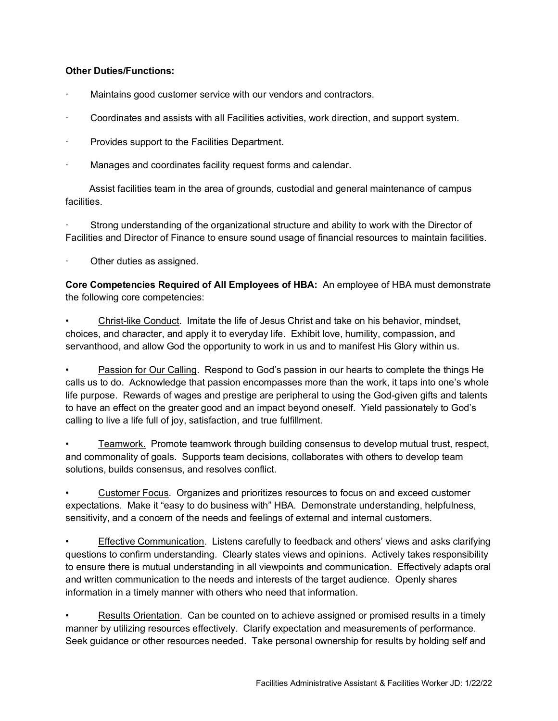# **Other Duties/Functions:**

- Maintains good customer service with our vendors and contractors.
- · Coordinates and assists with all Facilities activities, work direction, and support system.
- Provides support to the Facilities Department.
- Manages and coordinates facility request forms and calendar.

 Assist facilities team in the area of grounds, custodial and general maintenance of campus facilities.

Strong understanding of the organizational structure and ability to work with the Director of Facilities and Director of Finance to ensure sound usage of financial resources to maintain facilities.

Other duties as assigned.

**Core Competencies Required of All Employees of HBA:** An employee of HBA must demonstrate the following core competencies:

• Christ-like Conduct. Imitate the life of Jesus Christ and take on his behavior, mindset, choices, and character, and apply it to everyday life. Exhibit love, humility, compassion, and servanthood, and allow God the opportunity to work in us and to manifest His Glory within us.

Passion for Our Calling. Respond to God's passion in our hearts to complete the things He calls us to do. Acknowledge that passion encompasses more than the work, it taps into one's whole life purpose. Rewards of wages and prestige are peripheral to using the God-given gifts and talents to have an effect on the greater good and an impact beyond oneself. Yield passionately to God's calling to live a life full of joy, satisfaction, and true fulfillment.

• Teamwork. Promote teamwork through building consensus to develop mutual trust, respect, and commonality of goals. Supports team decisions, collaborates with others to develop team solutions, builds consensus, and resolves conflict.

• Customer Focus. Organizes and prioritizes resources to focus on and exceed customer expectations. Make it "easy to do business with" HBA. Demonstrate understanding, helpfulness, sensitivity, and a concern of the needs and feelings of external and internal customers.

• Effective Communication. Listens carefully to feedback and others' views and asks clarifying questions to confirm understanding. Clearly states views and opinions. Actively takes responsibility to ensure there is mutual understanding in all viewpoints and communication. Effectively adapts oral and written communication to the needs and interests of the target audience. Openly shares information in a timely manner with others who need that information.

Results Orientation. Can be counted on to achieve assigned or promised results in a timely manner by utilizing resources effectively. Clarify expectation and measurements of performance. Seek guidance or other resources needed. Take personal ownership for results by holding self and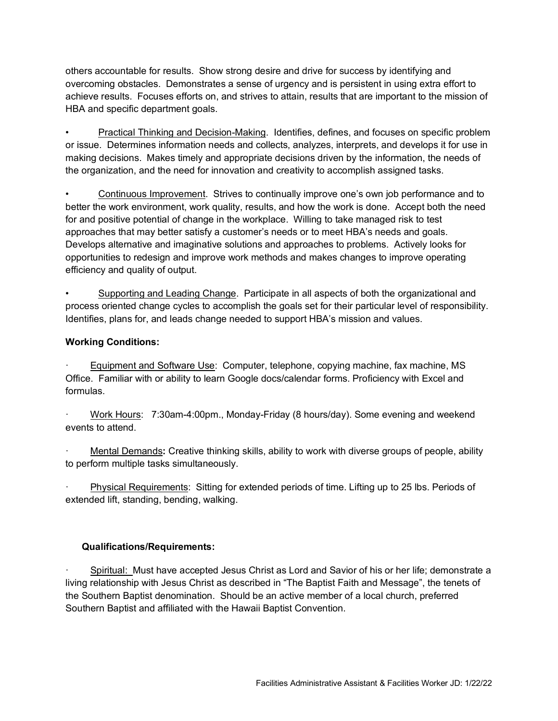others accountable for results. Show strong desire and drive for success by identifying and overcoming obstacles. Demonstrates a sense of urgency and is persistent in using extra effort to achieve results. Focuses efforts on, and strives to attain, results that are important to the mission of HBA and specific department goals.

• Practical Thinking and Decision-Making. Identifies, defines, and focuses on specific problem or issue. Determines information needs and collects, analyzes, interprets, and develops it for use in making decisions. Makes timely and appropriate decisions driven by the information, the needs of the organization, and the need for innovation and creativity to accomplish assigned tasks.

• Continuous Improvement. Strives to continually improve one's own job performance and to better the work environment, work quality, results, and how the work is done. Accept both the need for and positive potential of change in the workplace. Willing to take managed risk to test approaches that may better satisfy a customer's needs or to meet HBA's needs and goals. Develops alternative and imaginative solutions and approaches to problems. Actively looks for opportunities to redesign and improve work methods and makes changes to improve operating efficiency and quality of output.

• Supporting and Leading Change. Participate in all aspects of both the organizational and process oriented change cycles to accomplish the goals set for their particular level of responsibility. Identifies, plans for, and leads change needed to support HBA's mission and values.

# **Working Conditions:**

Equipment and Software Use: Computer, telephone, copying machine, fax machine, MS Office. Familiar with or ability to learn Google docs/calendar forms. Proficiency with Excel and formulas.

· Work Hours: 7:30am-4:00pm., Monday-Friday (8 hours/day). Some evening and weekend events to attend.

· Mental Demands**:** Creative thinking skills, ability to work with diverse groups of people, ability to perform multiple tasks simultaneously.

· Physical Requirements: Sitting for extended periods of time. Lifting up to 25 lbs. Periods of extended lift, standing, bending, walking.

# **Qualifications/Requirements:**

· Spiritual: Must have accepted Jesus Christ as Lord and Savior of his or her life; demonstrate a living relationship with Jesus Christ as described in "The Baptist Faith and Message", the tenets of the Southern Baptist denomination. Should be an active member of a local church, preferred Southern Baptist and affiliated with the Hawaii Baptist Convention.